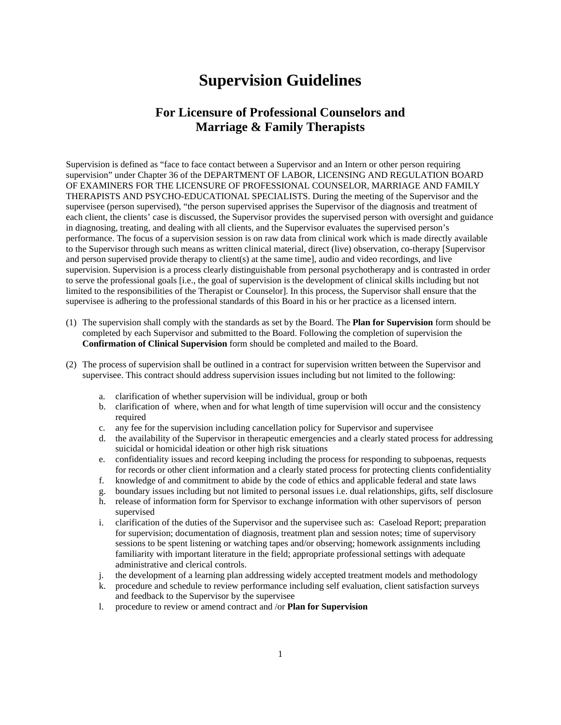## **Supervision Guidelines**

## **For Licensure of Professional Counselors and Marriage & Family Therapists**

Supervision is defined as "face to face contact between a Supervisor and an Intern or other person requiring supervision" under Chapter 36 of the DEPARTMENT OF LABOR, LICENSING AND REGULATION BOARD OF EXAMINERS FOR THE LICENSURE OF PROFESSIONAL COUNSELOR, MARRIAGE AND FAMILY THERAPISTS AND PSYCHO-EDUCATIONAL SPECIALISTS. During the meeting of the Supervisor and the supervisee (person supervised), "the person supervised apprises the Supervisor of the diagnosis and treatment of each client, the clients' case is discussed, the Supervisor provides the supervised person with oversight and guidance in diagnosing, treating, and dealing with all clients, and the Supervisor evaluates the supervised person's performance. The focus of a supervision session is on raw data from clinical work which is made directly available to the Supervisor through such means as written clinical material, direct (live) observation, co-therapy [Supervisor and person supervised provide therapy to client(s) at the same time], audio and video recordings, and live supervision. Supervision is a process clearly distinguishable from personal psychotherapy and is contrasted in order to serve the professional goals [i.e., the goal of supervision is the development of clinical skills including but not limited to the responsibilities of the Therapist or Counselor]. In this process, the Supervisor shall ensure that the supervisee is adhering to the professional standards of this Board in his or her practice as a licensed intern.

- (1) The supervision shall comply with the standards as set by the Board. The **Plan for Supervision** form should be completed by each Supervisor and submitted to the Board. Following the completion of supervision the **Confirmation of Clinical Supervision** form should be completed and mailed to the Board.
- (2) The process of supervision shall be outlined in a contract for supervision written between the Supervisor and supervisee. This contract should address supervision issues including but not limited to the following:
	- a. clarification of whether supervision will be individual, group or both
	- b. clarification of where, when and for what length of time supervision will occur and the consistency required
	- c. any fee for the supervision including cancellation policy for Supervisor and supervisee
	- d. the availability of the Supervisor in therapeutic emergencies and a clearly stated process for addressing suicidal or homicidal ideation or other high risk situations
	- e. confidentiality issues and record keeping including the process for responding to subpoenas, requests for records or other client information and a clearly stated process for protecting clients confidentiality
	- f. knowledge of and commitment to abide by the code of ethics and applicable federal and state laws
	- g. boundary issues including but not limited to personal issues i.e. dual relationships, gifts, self disclosure
	- h. release of information form for Spervisor to exchange information with other supervisors of person supervised
	- i. clarification of the duties of the Supervisor and the supervisee such as: Caseload Report; preparation for supervision; documentation of diagnosis, treatment plan and session notes; time of supervisory sessions to be spent listening or watching tapes and/or observing; homework assignments including familiarity with important literature in the field; appropriate professional settings with adequate administrative and clerical controls.
	- j. the development of a learning plan addressing widely accepted treatment models and methodology
	- k. procedure and schedule to review performance including self evaluation, client satisfaction surveys and feedback to the Supervisor by the supervisee
	- l. procedure to review or amend contract and /or **Plan for Supervision**